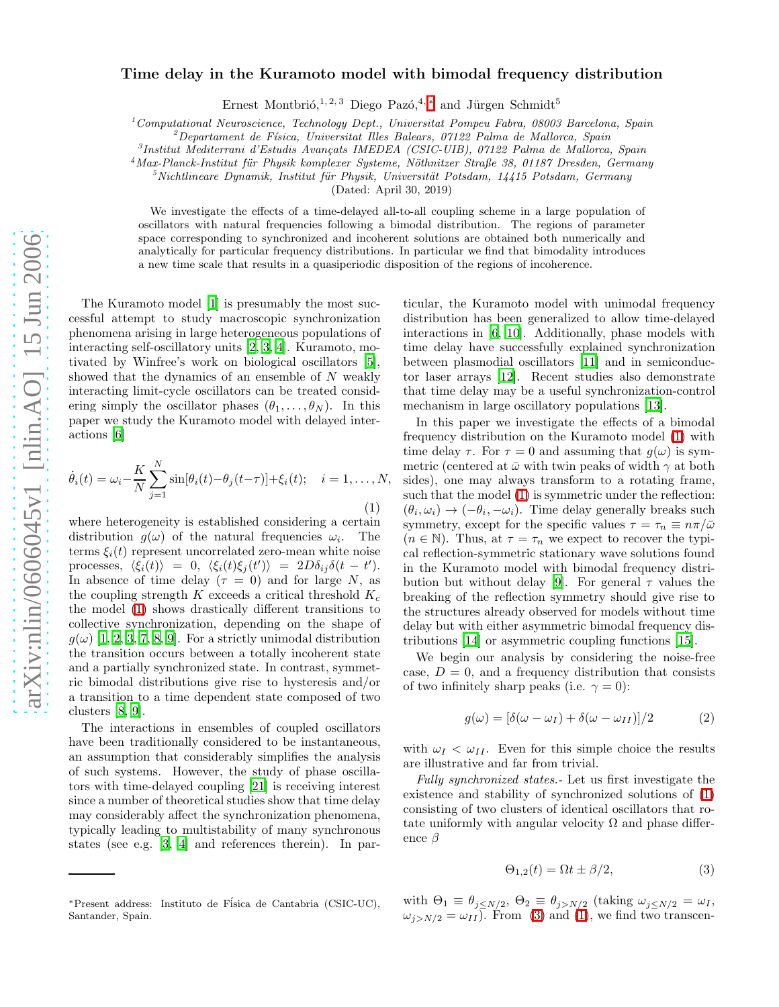## Time delay in the Kuramoto model with bimodal frequency distribution

Ernest Montbrió,<sup>1, 2, 3</sup> Diego Pazó,<sup>4, [∗](#page-0-0)</sup> and Jürgen Schmidt<sup>5</sup>

 $1$ Computational Neuroscience, Technology Dept., Universitat Pompeu Fabra, 08003 Barcelona, Spain

 $^{2}$ Departament de Física, Universitat Illes Balears, 07122 Palma de Mallorca, Spain

<sup>3</sup>Institut Mediterrani d'Estudis Avançats IMEDEA (CSIC-UIB), 07122 Palma de Mallorca, Spain

 $4$ Max-Planck-Institut für Physik komplexer Systeme, Nöthnitzer Straße 38, 01187 Dresden, Germany

 $5$ Nichtlineare Dynamik, Institut für Physik, Universität Potsdam, 14415 Potsdam, Germany

(Dated: April 30, 2019)

We investigate the effects of a time-delayed all-to-all coupling scheme in a large population of oscillators with natural frequencies following a bimodal distribution. The regions of parameter space corresponding to synchronized and incoherent solutions are obtained both numerically and analytically for particular frequency distributions. In particular we find that bimodality introduces a new time scale that results in a quasiperiodic disposition of the regions of incoherence.

The Kuramoto model [\[1\]](#page-3-0) is presumably the most successful attempt to study macroscopic synchronization phenomena arising in large heterogeneous populations of interacting self-oscillatory units [\[2](#page-3-1), [3,](#page-3-2) [4\]](#page-3-3). Kuramoto, motivated by Winfree's work on biological oscillators [\[5\]](#page-3-4), showed that the dynamics of an ensemble of  $N$  weakly interacting limit-cycle oscillators can be treated considering simply the oscillator phases  $(\theta_1, \ldots, \theta_N)$ . In this paper we study the Kuramoto model with delayed interactions [\[6\]](#page-3-5)

<span id="page-0-1"></span>
$$
\dot{\theta}_i(t) = \omega_i - \frac{K}{N} \sum_{j=1}^N \sin[\theta_i(t) - \theta_j(t-\tau)] + \xi_i(t); \quad i = 1, ..., N,
$$
\n(1)

where heterogeneity is established considering a certain distribution  $g(\omega)$  of the natural frequencies  $\omega_i$ . The terms  $\xi_i(t)$  represent uncorrelated zero-mean white noise processes,  $\langle \xi_i(t) \rangle = 0, \langle \xi_i(t) \xi_j(t') \rangle = 2D\delta_{ij} \delta(t - t').$ In absence of time delay ( $\tau = 0$ ) and for large N, as the coupling strength K exceeds a critical threshold  $K_c$ the model [\(1\)](#page-0-1) shows drastically different transitions to collective synchronization, depending on the shape of  $g(\omega)$  [\[1,](#page-3-0) [2](#page-3-1), [3,](#page-3-2) [7,](#page-3-6) [8,](#page-3-7) [9\]](#page-3-8). For a strictly unimodal distribution the transition occurs between a totally incoherent state and a partially synchronized state. In contrast, symmetric bimodal distributions give rise to hysteresis and/or a transition to a time dependent state composed of two clusters [\[8,](#page-3-7) [9\]](#page-3-8).

The interactions in ensembles of coupled oscillators have been traditionally considered to be instantaneous, an assumption that considerably simplifies the analysis of such systems. However, the study of phase oscillators with time-delayed coupling [\[21](#page-4-0)] is receiving interest since a number of theoretical studies show that time delay may considerably affect the synchronization phenomena, typically leading to multistability of many synchronous states (see e.g. [\[3,](#page-3-2) [4\]](#page-3-3) and references therein). In par-

ticular, the Kuramoto model with unimodal frequency distribution has been generalized to allow time-delayed interactions in [\[6,](#page-3-5) [10](#page-3-9)]. Additionally, phase models with time delay have successfully explained synchronization between plasmodial oscillators [\[11](#page-3-10)] and in semiconductor laser arrays [\[12\]](#page-3-11). Recent studies also demonstrate that time delay may be a useful synchronization-control mechanism in large oscillatory populations [\[13\]](#page-3-12).

In this paper we investigate the effects of a bimodal frequency distribution on the Kuramoto model [\(1\)](#page-0-1) with time delay  $\tau$ . For  $\tau = 0$  and assuming that  $g(\omega)$  is symmetric (centered at  $\bar{\omega}$  with twin peaks of width  $\gamma$  at both sides), one may always transform to a rotating frame, such that the model [\(1\)](#page-0-1) is symmetric under the reflection:  $(\theta_i, \omega_i) \rightarrow (-\theta_i, -\omega_i)$ . Time delay generally breaks such symmetry, except for the specific values  $\tau = \tau_n \equiv n\pi/\bar{\omega}$  $(n \in \mathbb{N})$ . Thus, at  $\tau = \tau_n$  we expect to recover the typical reflection-symmetric stationary wave solutions found in the Kuramoto model with bimodal frequency distri-bution but without delay [\[9](#page-3-8)]. For general  $\tau$  values the breaking of the reflection symmetry should give rise to the structures already observed for models without time delay but with either asymmetric bimodal frequency distributions [\[14\]](#page-4-1) or asymmetric coupling functions [\[15](#page-4-2)].

We begin our analysis by considering the noise-free case,  $D = 0$ , and a frequency distribution that consists of two infinitely sharp peaks (i.e.  $\gamma = 0$ ):

<span id="page-0-3"></span>
$$
g(\omega) = [\delta(\omega - \omega_I) + \delta(\omega - \omega_{II})]/2 \tag{2}
$$

with  $\omega_I < \omega_{II}$ . Even for this simple choice the results are illustrative and far from trivial.

<span id="page-0-2"></span>Fully synchronized states.- Let us first investigate the existence and stability of synchronized solutions of [\(1\)](#page-0-1) consisting of two clusters of identical oscillators that rotate uniformly with angular velocity  $\Omega$  and phase difference β

$$
\Theta_{1,2}(t) = \Omega t \pm \beta/2,\tag{3}
$$

with  $\Theta_1 \equiv \theta_{j \leq N/2}$ ,  $\Theta_2 \equiv \theta_{j > N/2}$  (taking  $\omega_{j \leq N/2} = \omega_I$ ,  $\omega_{j>N/2} = \omega_{II}$ . From [\(3\)](#page-0-2) and [\(1\)](#page-0-1), we find two transcen-

<span id="page-0-0"></span><sup>∗</sup>Present address: Instituto de F´isica de Cantabria (CSIC-UC), Santander, Spain.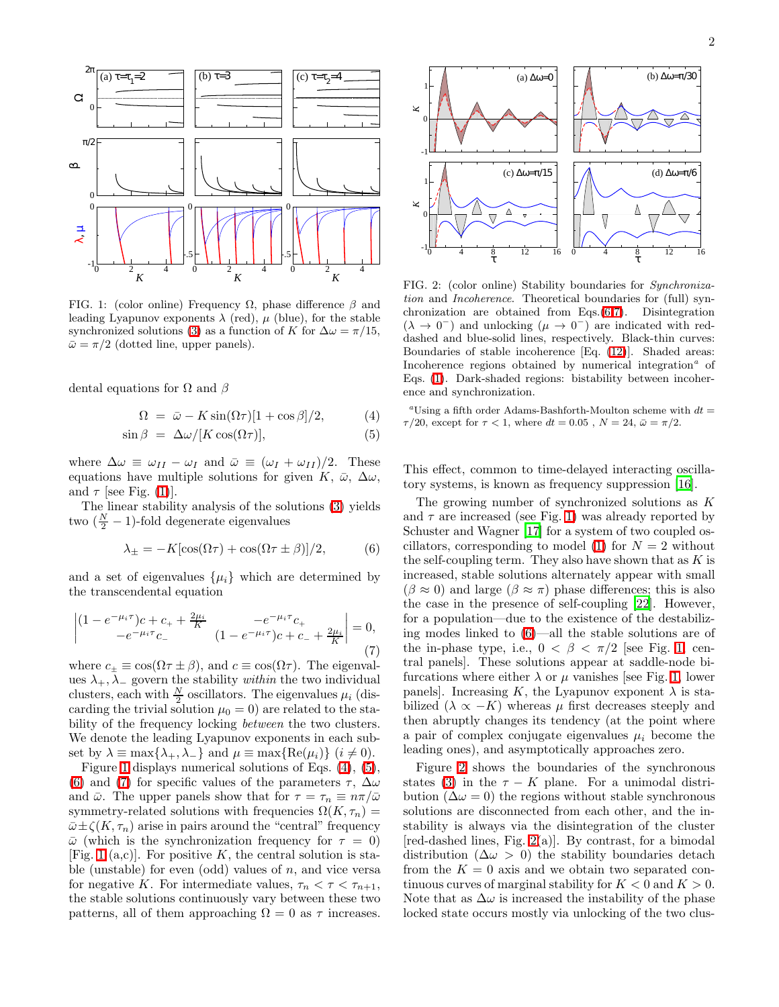

<span id="page-1-0"></span>FIG. 1: (color online) Frequency  $\Omega$ , phase difference  $\beta$  and leading Lyapunov exponents  $\lambda$  (red),  $\mu$  (blue), for the stable synchronized solutions [\(3\)](#page-0-2) as a function of K for  $\Delta \omega = \pi/15$ ,  $\bar{\omega} = \pi/2$  (dotted line, upper panels).

<span id="page-1-1"></span>dental equations for  $\Omega$  and  $\beta$ 

$$
\Omega = \bar{\omega} - K \sin(\Omega \tau) [1 + \cos \beta] / 2, \tag{4}
$$

$$
\sin \beta = \Delta \omega / [K \cos(\Omega \tau)], \tag{5}
$$

where  $\Delta \omega \equiv \omega_{II} - \omega_I$  and  $\bar{\omega} \equiv (\omega_I + \omega_{II})/2$ . These equations have multiple solutions for given K,  $\bar{\omega}$ ,  $\Delta\omega$ , and  $\tau$  [see Fig. [\(1\)](#page-1-0)].

The linear stability analysis of the solutions [\(3\)](#page-0-2) yields two  $(\frac{N}{2} - 1)$ -fold degenerate eigenvalues

<span id="page-1-3"></span><span id="page-1-2"></span>
$$
\lambda_{\pm} = -K[\cos(\Omega \tau) + \cos(\Omega \tau \pm \beta)]/2, \tag{6}
$$

and a set of eigenvalues  $\{\mu_i\}$  which are determined by the transcendental equation

$$
\begin{vmatrix} (1 - e^{-\mu_i \tau})c + c_+ + \frac{2\mu_i}{K} & -e^{-\mu_i \tau}c_+ \\ -e^{-\mu_i \tau}c_- & (1 - e^{-\mu_i \tau})c + c_- + \frac{2\mu_i}{K} \end{vmatrix} = 0,
$$
\n(7)

where  $c_{+} \equiv \cos(\Omega \tau \pm \beta)$ , and  $c \equiv \cos(\Omega \tau)$ . The eigenvalues  $\lambda_+$ ,  $\lambda_-$  govern the stability *within* the two individual clusters, each with  $\frac{N}{2}$  oscillators. The eigenvalues  $\mu_i$  (discarding the trivial solution  $\mu_0 = 0$  are related to the stability of the frequency locking *between* the two clusters. We denote the leading Lyapunov exponents in each subset by  $\lambda \equiv \max\{\lambda_+, \lambda_-\}$  and  $\mu \equiv \max\{\text{Re}(\mu_i)\}\ (i \neq 0)$ .

Figure [1](#page-1-0) displays numerical solutions of Eqs. [\(4\)](#page-1-1), [\(5\)](#page-1-1), [\(6\)](#page-1-2) and [\(7\)](#page-1-3) for specific values of the parameters  $\tau$ ,  $\Delta\omega$ and  $\bar{\omega}$ . The upper panels show that for  $\tau = \tau_n \equiv n\pi/\bar{\omega}$ symmetry-related solutions with frequencies  $\Omega(K, \tau_n)$  =  $\bar{\omega} \pm \zeta(K, \tau_n)$  arise in pairs around the "central" frequency  $\bar{\omega}$  (which is the synchronization frequency for  $\tau = 0$ ) [Fig. [1](#page-1-0) (a,c)]. For positive K, the central solution is stable (unstable) for even (odd) values of  $n$ , and vice versa for negative K. For intermediate values,  $\tau_n < \tau < \tau_{n+1}$ , the stable solutions continuously vary between these two patterns, all of them approaching  $\Omega = 0$  as  $\tau$  increases.



<span id="page-1-4"></span>FIG. 2: (color online) Stability boundaries for Synchronization and Incoherence. Theoretical boundaries for (full) synchronization are obtained from Eqs.[\(6,](#page-1-2)[7\)](#page-1-3). Disintegration  $(\lambda \rightarrow 0^{-})$  and unlocking  $(\mu \rightarrow 0^{-})$  are indicated with reddashed and blue-solid lines, respectively. Black-thin curves: Boundaries of stable incoherence [Eq. [\(12\)](#page-2-0)]. Shaded areas: Incoherence regions obtained by numerical integration<sup> $a$ </sup> of Eqs. [\(1\)](#page-0-1). Dark-shaded regions: bistability between incoherence and synchronization.

<sup>a</sup>Using a fifth order Adams-Bashforth-Moulton scheme with  $dt =$  $\tau/20$ , except for  $\tau < 1$ , where  $dt = 0.05$ ,  $N = 24$ ,  $\bar{\omega} = \pi/2$ .

This effect, common to time-delayed interacting oscillatory systems, is known as frequency suppression [\[16](#page-4-3)].

The growing number of synchronized solutions as K and  $\tau$  are increased (see Fig. [1\)](#page-1-0) was already reported by Schuster and Wagner [\[17](#page-4-4)] for a system of two coupled os-cillators, corresponding to model [\(1\)](#page-0-1) for  $N = 2$  without the self-coupling term. They also have shown that as  $K$  is increased, stable solutions alternately appear with small  $(\beta \approx 0)$  and large  $(\beta \approx \pi)$  phase differences; this is also the case in the presence of self-coupling [\[22](#page-4-5)]. However, for a population—due to the existence of the destabilizing modes linked to [\(6\)](#page-1-2)—all the stable solutions are of the in-phase type, i.e.,  $0 < \beta < \pi/2$  [see Fig. [1,](#page-1-0) central panels]. These solutions appear at saddle-node bifurcations where either  $\lambda$  or  $\mu$  vanishes [see Fig. [1,](#page-1-0) lower panels]. Increasing K, the Lyapunov exponent  $\lambda$  is stabilized  $(\lambda \propto -K)$  whereas  $\mu$  first decreases steeply and then abruptly changes its tendency (at the point where a pair of complex conjugate eigenvalues  $\mu_i$  become the leading ones), and asymptotically approaches zero.

Figure [2](#page-1-4) shows the boundaries of the synchronous states [\(3\)](#page-0-2) in the  $\tau - K$  plane. For a unimodal distribution ( $\Delta \omega = 0$ ) the regions without stable synchronous solutions are disconnected from each other, and the instability is always via the disintegration of the cluster  $[red-dashed lines, Fig. 2(a)].$  $[red-dashed lines, Fig. 2(a)].$  $[red-dashed lines, Fig. 2(a)].$  By contrast, for a bimodal distribution ( $\Delta \omega > 0$ ) the stability boundaries detach from the  $K = 0$  axis and we obtain two separated continuous curves of marginal stability for  $K < 0$  and  $K > 0$ . Note that as  $\Delta\omega$  is increased the instability of the phase locked state occurs mostly via unlocking of the two clus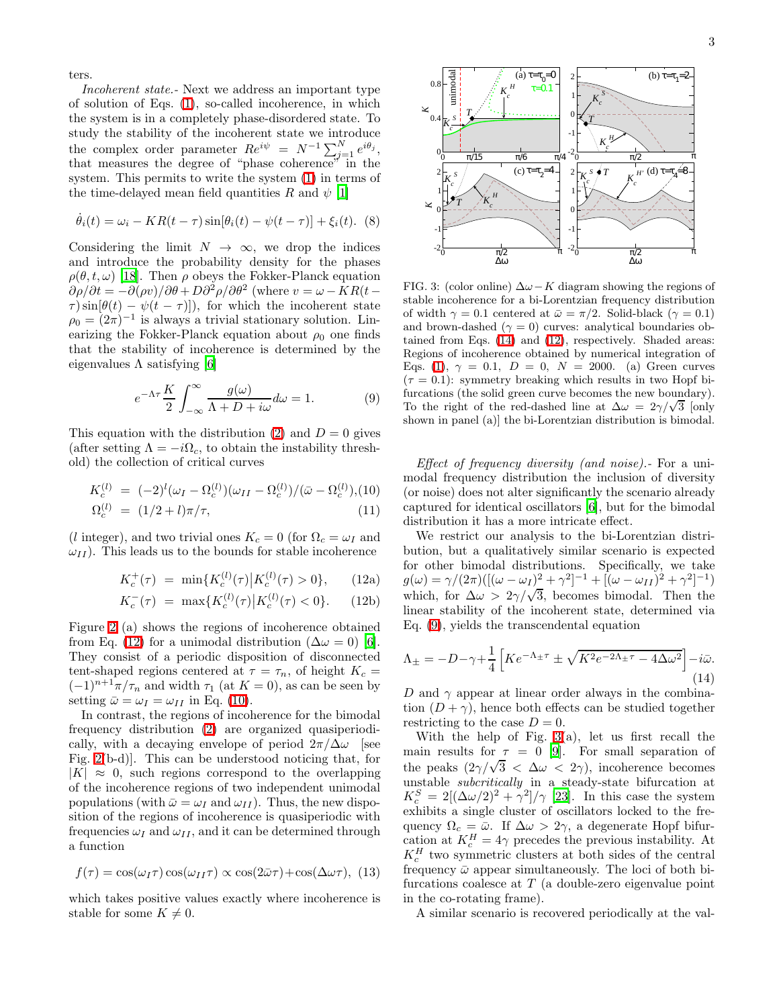ters.

Incoherent state.- Next we address an important type of solution of Eqs. [\(1\)](#page-0-1), so-called incoherence, in which the system is in a completely phase-disordered state. To study the stability of the incoherent state we introduce the complex order parameter  $Re^{i\psi} = N^{-1} \sum_{j=1}^{N} e^{i\theta_j}$ , that measures the degree of "phase coherence" in the system. This permits to write the system [\(1\)](#page-0-1) in terms of the time-delayed mean field quantities R and  $\psi$  [\[1\]](#page-3-0)

$$
\dot{\theta}_i(t) = \omega_i - KR(t-\tau)\sin[\theta_i(t) - \psi(t-\tau)] + \xi_i(t). \tag{8}
$$

Considering the limit  $N \to \infty$ , we drop the indices and introduce the probability density for the phases  $\rho(\theta, t, \omega)$  [\[18\]](#page-4-6). Then  $\rho$  obeys the Fokker-Planck equation  $\partial \rho / \partial t = -\partial (\rho v) / \partial \theta + D \partial^2 \rho / \partial \theta^2$  (where  $v = \omega - KR(t - \theta)$  $\tau$ ) sin $[\theta(t) - \psi(t-\tau)]$ , for which the incoherent state  $\rho_0 = (2\pi)^{-1}$  is always a trivial stationary solution. Linearizing the Fokker-Planck equation about  $\rho_0$  one finds that the stability of incoherence is determined by the eigenvalues  $\Lambda$  satisfying [\[6\]](#page-3-5)

<span id="page-2-3"></span>
$$
e^{-\Lambda \tau} \frac{K}{2} \int_{-\infty}^{\infty} \frac{g(\omega)}{\Lambda + D + i\omega} d\omega = 1.
$$
 (9)

This equation with the distribution [\(2\)](#page-0-3) and  $D = 0$  gives (after setting  $\Lambda = -i\Omega_c$ , to obtain the instability threshold) the collection of critical curves

$$
K_c^{(l)} = (-2)^l (\omega_I - \Omega_c^{(l)}) (\omega_{II} - \Omega_c^{(l)})/(\bar{\omega} - \Omega_c^{(l)}), (10)
$$

$$
\Omega_c^{(l)} = (1/2 + l)\pi/\tau, \tag{11}
$$

<span id="page-2-1"></span>(l integer), and two trivial ones  $K_c = 0$  (for  $\Omega_c = \omega_I$  and  $\omega_{II}$ ). This leads us to the bounds for stable incoherence

$$
K_c^+(\tau) = \min\{K_c^{(l)}(\tau) \big| K_c^{(l)}(\tau) > 0\},\qquad(12a)
$$

$$
K_c^-(\tau) \ = \ \max\{K_c^{(l)}(\tau) \, \big| \, K_c^{(l)}(\tau) < 0\}. \tag{12b}
$$

Figure [2](#page-1-4) (a) shows the regions of incoherence obtained from Eq. [\(12\)](#page-2-0) for a unimodal distribution ( $\Delta \omega = 0$ ) [\[6\]](#page-3-5). They consist of a periodic disposition of disconnected tent-shaped regions centered at  $\tau = \tau_n$ , of height  $K_c =$  $(-1)^{n+1}\pi/\tau_n$  and width  $\tau_1$  (at  $K=0$ ), as can be seen by setting  $\bar{\omega} = \omega_I = \omega_{II}$  in Eq. [\(10\)](#page-2-1).

In contrast, the regions of incoherence for the bimodal frequency distribution [\(2\)](#page-0-3) are organized quasiperiodically, with a decaying envelope of period  $2\pi/\Delta\omega$  [see Fig. [2\(](#page-1-4)b-d)]. This can be understood noticing that, for  $|K| \approx 0$ , such regions correspond to the overlapping of the incoherence regions of two independent unimodal populations (with  $\bar{\omega} = \omega_I$  and  $\omega_{II}$ ). Thus, the new disposition of the regions of incoherence is quasiperiodic with frequencies  $\omega_I$  and  $\omega_{II}$ , and it can be determined through a function

$$
f(\tau) = \cos(\omega_I \tau) \cos(\omega_{II} \tau) \propto \cos(2\bar{\omega}\tau) + \cos(\Delta \omega \tau), \tag{13}
$$

which takes positive values exactly where incoherence is stable for some  $K \neq 0$ .



∆ω

<span id="page-2-4"></span>FIG. 3: (color online)  $\Delta \omega - K$  diagram showing the regions of stable incoherence for a bi-Lorentzian frequency distribution of width  $\gamma = 0.1$  centered at  $\bar{\omega} = \pi/2$ . Solid-black  $(\gamma = 0.1)$ and brown-dashed  $(\gamma = 0)$  curves: analytical boundaries obtained from Eqs. [\(14\)](#page-2-2) and [\(12\)](#page-2-0), respectively. Shaded areas: Regions of incoherence obtained by numerical integration of Eqs. [\(1\)](#page-0-1),  $\gamma = 0.1$ ,  $D = 0$ ,  $N = 2000$ . (a) Green curves  $(\tau = 0.1)$ : symmetry breaking which results in two Hopf bifurcations (the solid green curve becomes the new boundary). To the right of the red-dashed line at  $\Delta\omega = 2\gamma/\sqrt{3}$  [only shown in panel (a)] the bi-Lorentzian distribution is bimodal.

∆ω

Effect of frequency diversity (and noise). For a unimodal frequency distribution the inclusion of diversity (or noise) does not alter significantly the scenario already captured for identical oscillators [\[6\]](#page-3-5), but for the bimodal distribution it has a more intricate effect.

<span id="page-2-0"></span>We restrict our analysis to the bi-Lorentzian distribution, but a qualitatively similar scenario is expected for other bimodal distributions. Specifically, we take  $g(\omega) = \gamma/(2\pi) ([(\omega - \omega_I)^2 + \gamma^2]^{-1} + [(\omega - \omega_{II})^2 + \gamma^2]^{-1})$ which, for  $\Delta \omega > 2\gamma/\sqrt{3}$ , becomes bimodal. Then the linear stability of the incoherent state, determined via Eq. [\(9\)](#page-2-3), yields the transcendental equation

<span id="page-2-2"></span>
$$
\Lambda_{\pm} = -D - \gamma + \frac{1}{4} \left[ K e^{-\Lambda_{\pm}\tau} \pm \sqrt{K^2 e^{-2\Lambda_{\pm}\tau} - 4\Delta\omega^2} \right] - i\bar{\omega}.
$$
\n(14)

D and  $\gamma$  appear at linear order always in the combination  $(D + \gamma)$ , hence both effects can be studied together restricting to the case  $D = 0$ .

With the help of Fig. [3\(](#page-2-4)a), let us first recall the main results for  $\tau = 0$  [\[9](#page-3-8)]. For small separation of the peaks  $(2\gamma/\sqrt{3} < \Delta\omega < 2\gamma)$ , incoherence becomes unstable subcritically in a steady-state bifurcation at  $K_c^S = 2[(\Delta\omega/2)^2 + \gamma^2]/\gamma$  [\[23\]](#page-4-7). In this case the system exhibits a single cluster of oscillators locked to the frequency  $\Omega_c = \bar{\omega}$ . If  $\Delta \omega > 2\gamma$ , a degenerate Hopf bifurcation at  $K_c^H = 4\gamma$  precedes the previous instability. At  $K_c^H$  two symmetric clusters at both sides of the central frequency  $\bar{\omega}$  appear simultaneously. The loci of both bifurcations coalesce at  $T$  (a double-zero eigenvalue point in the co-rotating frame).

A similar scenario is recovered periodically at the val-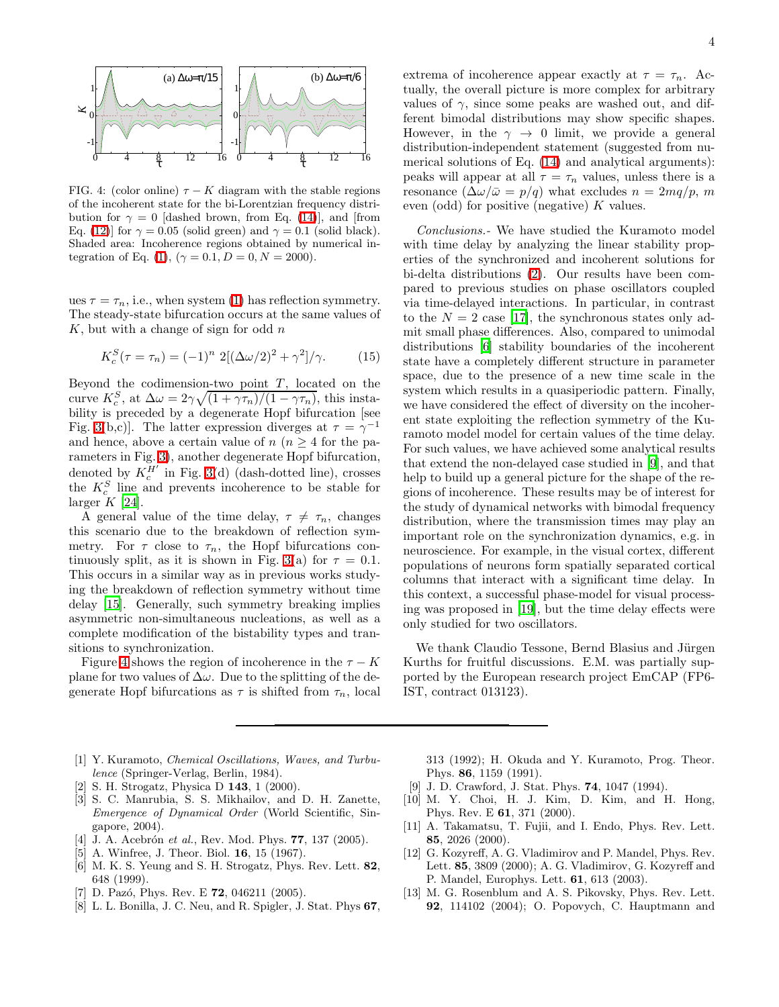

<span id="page-3-13"></span>FIG. 4: (color online)  $\tau - K$  diagram with the stable regions of the incoherent state for the bi-Lorentzian frequency distribution for  $\gamma = 0$  [dashed brown, from Eq. [\(14\)](#page-2-2)], and [from Eq. [\(12\)](#page-2-0)] for  $\gamma = 0.05$  (solid green) and  $\gamma = 0.1$  (solid black). Shaded area: Incoherence regions obtained by numerical in-tegration of Eq. [\(1\)](#page-0-1), ( $\gamma = 0.1, D = 0, N = 2000$ ).

ues  $\tau = \tau_n$ , i.e., when system [\(1\)](#page-0-1) has reflection symmetry. The steady-state bifurcation occurs at the same values of  $K$ , but with a change of sign for odd  $n$ 

$$
K_c^S(\tau = \tau_n) = (-1)^n 2[(\Delta\omega/2)^2 + \gamma^2]/\gamma.
$$
 (15)

Beyond the codimension-two point  $T$ , located on the curve  $K_c^S$ , at  $\Delta \omega = 2\gamma \sqrt{(1 + \gamma \tau_n)/(1 - \gamma \tau_n)}$ , this instability is preceded by a degenerate Hopf bifurcation [see Fig. [3\(](#page-2-4)b,c)]. The latter expression diverges at  $\tau = \gamma^{-1}$ and hence, above a certain value of  $n(n \geq 4$  for the parameters in Fig. [3\)](#page-2-4), another degenerate Hopf bifurcation, denoted by  $K_c^{H'}$  in Fig. [3\(](#page-2-4)d) (dash-dotted line), crosses the  $K_c^S$  line and prevents incoherence to be stable for larger  $K$  [\[24\]](#page-4-8).

A general value of the time delay,  $\tau \neq \tau_n$ , changes this scenario due to the breakdown of reflection symmetry. For  $\tau$  close to  $\tau_n$ , the Hopf bifurcations con-tinuously split, as it is shown in Fig. [3\(](#page-2-4)a) for  $\tau = 0.1$ . This occurs in a similar way as in previous works studying the breakdown of reflection symmetry without time delay [\[15\]](#page-4-2). Generally, such symmetry breaking implies asymmetric non-simultaneous nucleations, as well as a complete modification of the bistability types and transitions to synchronization.

Figure [4](#page-3-13) shows the region of incoherence in the  $\tau - K$ plane for two values of  $\Delta\omega$ . Due to the splitting of the degenerate Hopf bifurcations as  $\tau$  is shifted from  $\tau_n$ , local

- <span id="page-3-0"></span>[1] Y. Kuramoto, *Chemical Oscillations*, *Waves*, and *Turbu*lence (Springer-Verlag, Berlin, 1984).
- <span id="page-3-1"></span>[2] S. H. Strogatz, Physica D 143, 1 (2000).
- <span id="page-3-2"></span>[3] S. C. Manrubia, S. S. Mikhailov, and D. H. Zanette, Emergence of Dynamical Order (World Scientific, Singapore, 2004).
- <span id="page-3-3"></span>[4] J. A. Acebrón et al., Rev. Mod. Phys. **77**, 137 (2005).
- [5] A. Winfree, J. Theor. Biol. 16, 15 (1967).
- <span id="page-3-5"></span><span id="page-3-4"></span>[6] M. K. S. Yeung and S. H. Strogatz, Phys. Rev. Lett. 82, 648 (1999).
- <span id="page-3-6"></span>[7] D. Pazó, Phys. Rev. E  $72$ , 046211 (2005).
- <span id="page-3-7"></span>[8] L. L. Bonilla, J. C. Neu, and R. Spigler, J. Stat. Phys 67,

extrema of incoherence appear exactly at  $\tau = \tau_n$ . Actually, the overall picture is more complex for arbitrary values of  $\gamma$ , since some peaks are washed out, and different bimodal distributions may show specific shapes. However, in the  $\gamma \rightarrow 0$  limit, we provide a general distribution-independent statement (suggested from numerical solutions of Eq. [\(14\)](#page-2-2) and analytical arguments): peaks will appear at all  $\tau = \tau_n$  values, unless there is a resonance  $(\Delta \omega / \bar{\omega} = p/q)$  what excludes  $n = 2mq/p$ , m even (odd) for positive (negative) K values.

Conclusions.- We have studied the Kuramoto model with time delay by analyzing the linear stability properties of the synchronized and incoherent solutions for bi-delta distributions [\(2\)](#page-0-3). Our results have been compared to previous studies on phase oscillators coupled via time-delayed interactions. In particular, in contrast to the  $N = 2$  case [\[17\]](#page-4-4), the synchronous states only admit small phase differences. Also, compared to unimodal distributions [\[6\]](#page-3-5) stability boundaries of the incoherent state have a completely different structure in parameter space, due to the presence of a new time scale in the system which results in a quasiperiodic pattern. Finally, we have considered the effect of diversity on the incoherent state exploiting the reflection symmetry of the Kuramoto model model for certain values of the time delay. For such values, we have achieved some analytical results that extend the non-delayed case studied in [\[9](#page-3-8)], and that help to build up a general picture for the shape of the regions of incoherence. These results may be of interest for the study of dynamical networks with bimodal frequency distribution, where the transmission times may play an important role on the synchronization dynamics, e.g. in neuroscience. For example, in the visual cortex, different populations of neurons form spatially separated cortical columns that interact with a significant time delay. In this context, a successful phase-model for visual processing was proposed in [\[19\]](#page-4-9), but the time delay effects were only studied for two oscillators.

We thank Claudio Tessone, Bernd Blasius and Jürgen Kurths for fruitful discussions. E.M. was partially supported by the European research project EmCAP (FP6- IST, contract 013123).

313 (1992); H. Okuda and Y. Kuramoto, Prog. Theor. Phys. 86, 1159 (1991).

- [9] J. D. Crawford, J. Stat. Phys. 74, 1047 (1994).
- <span id="page-3-9"></span><span id="page-3-8"></span>[10] M. Y. Choi, H. J. Kim, D. Kim, and H. Hong, Phys. Rev. E 61, 371 (2000).
- <span id="page-3-10"></span>[11] A. Takamatsu, T. Fujii, and I. Endo, Phys. Rev. Lett. 85, 2026 (2000).
- <span id="page-3-11"></span>[12] G. Kozyreff, A. G. Vladimirov and P. Mandel, Phys. Rev. Lett. 85, 3809 (2000); A. G. Vladimirov, G. Kozyreff and P. Mandel, Europhys. Lett. 61, 613 (2003).
- <span id="page-3-12"></span>[13] M. G. Rosenblum and A. S. Pikovsky, Phys. Rev. Lett. 92, 114102 (2004); O. Popovych, C. Hauptmann and